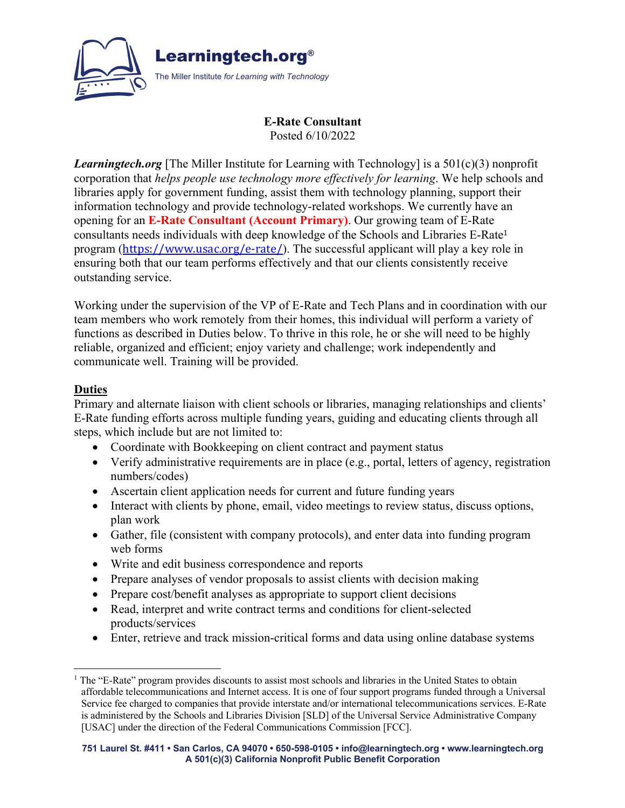

### **E-Rate Consultant** Posted 6/10/2022

*Learningtech.org* [The Miller Institute for Learning with Technology] is a 501(c)(3) nonprofit corporation that *helps people use technology more effectively for learning*. We help schools and libraries apply for government funding, assist them with technology planning, support their information technology and provide technology-related workshops. We currently have an opening for an **E-Rate Consultant (Account Primary)**. Our growing team of E-Rate consultants needs individuals with deep knowledge of the Schools and Libraries E-Rate<sup>1</sup> program (https://www.usac.org/e-rate/). The successful applicant will play a key role in ensuring both that our team performs effectively and that our clients consistently receive outstanding service.

Working under the supervision of the VP of E-Rate and Tech Plans and in coordination with our team members who work remotely from their homes, this individual will perform a variety of functions as described in Duties below. To thrive in this role, he or she will need to be highly reliable, organized and efficient; enjoy variety and challenge; work independently and communicate well. Training will be provided.

### **Duties**

Primary and alternate liaison with client schools or libraries, managing relationships and clients' E-Rate funding efforts across multiple funding years, guiding and educating clients through all steps, which include but are not limited to:

- Coordinate with Bookkeeping on client contract and payment status
- Verify administrative requirements are in place (e.g., portal, letters of agency, registration numbers/codes)
- Ascertain client application needs for current and future funding years
- Interact with clients by phone, email, video meetings to review status, discuss options, plan work
- Gather, file (consistent with company protocols), and enter data into funding program web forms
- Write and edit business correspondence and reports
- Prepare analyses of vendor proposals to assist clients with decision making
- Prepare cost/benefit analyses as appropriate to support client decisions
- Read, interpret and write contract terms and conditions for client-selected products/services
- Enter, retrieve and track mission-critical forms and data using online database systems

 $<sup>1</sup>$  The "E-Rate" program provides discounts to assist most schools and libraries in the United States to obtain</sup> affordable telecommunications and Internet access. It is one of four support programs funded through a Universal Service fee charged to companies that provide interstate and/or international telecommunications services. E-Rate is administered by the Schools and Libraries Division [SLD] of the Universal Service Administrative Company [USAC] under the direction of the Federal Communications Commission [FCC].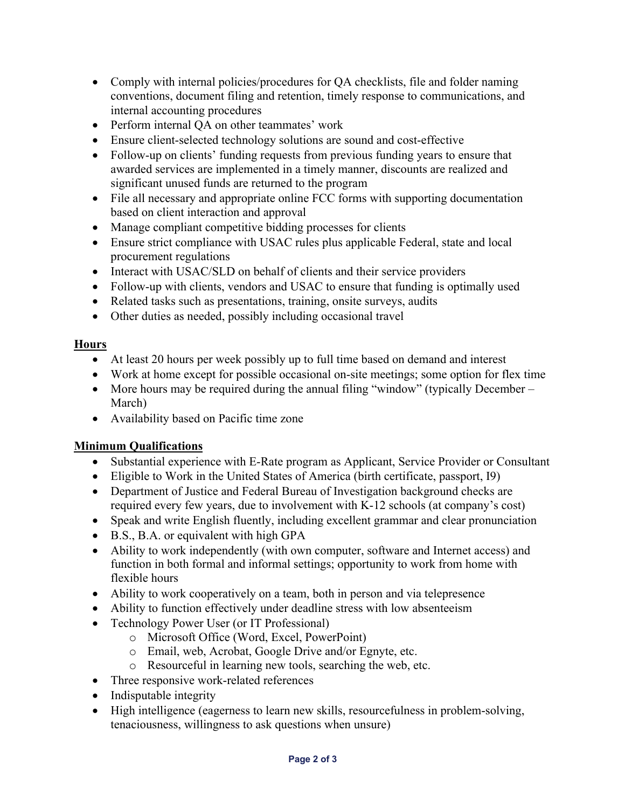- Comply with internal policies/procedures for QA checklists, file and folder naming conventions, document filing and retention, timely response to communications, and internal accounting procedures
- Perform internal QA on other teammates' work
- Ensure client-selected technology solutions are sound and cost-effective
- Follow-up on clients' funding requests from previous funding years to ensure that awarded services are implemented in a timely manner, discounts are realized and significant unused funds are returned to the program
- File all necessary and appropriate online FCC forms with supporting documentation based on client interaction and approval
- Manage compliant competitive bidding processes for clients
- Ensure strict compliance with USAC rules plus applicable Federal, state and local procurement regulations
- Interact with USAC/SLD on behalf of clients and their service providers
- Follow-up with clients, vendors and USAC to ensure that funding is optimally used
- Related tasks such as presentations, training, onsite surveys, audits
- Other duties as needed, possibly including occasional travel

## **Hours**

- At least 20 hours per week possibly up to full time based on demand and interest
- Work at home except for possible occasional on-site meetings; some option for flex time
- More hours may be required during the annual filing "window" (typically December March)
- Availability based on Pacific time zone

# **Minimum Qualifications**

- Substantial experience with E-Rate program as Applicant, Service Provider or Consultant
- Eligible to Work in the United States of America (birth certificate, passport, I9)
- Department of Justice and Federal Bureau of Investigation background checks are required every few years, due to involvement with K-12 schools (at company's cost)
- Speak and write English fluently, including excellent grammar and clear pronunciation
- B.S., B.A. or equivalent with high GPA
- Ability to work independently (with own computer, software and Internet access) and function in both formal and informal settings; opportunity to work from home with flexible hours
- Ability to work cooperatively on a team, both in person and via telepresence
- Ability to function effectively under deadline stress with low absenteeism
- Technology Power User (or IT Professional)
	- o Microsoft Office (Word, Excel, PowerPoint)
	- o Email, web, Acrobat, Google Drive and/or Egnyte, etc.
	- o Resourceful in learning new tools, searching the web, etc.
- Three responsive work-related references
- Indisputable integrity
- High intelligence (eagerness to learn new skills, resourcefulness in problem-solving, tenaciousness, willingness to ask questions when unsure)